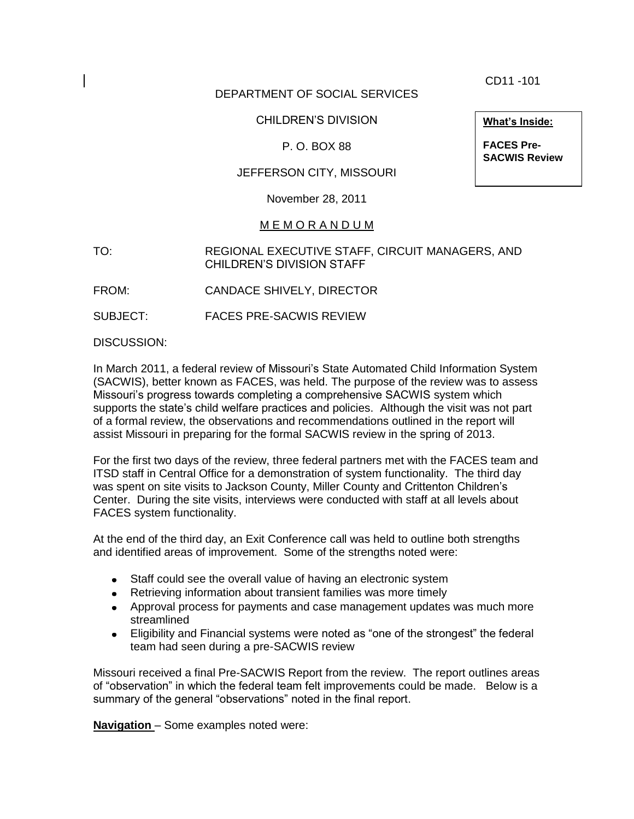DEPARTMENT OF SOCIAL SERVICES

CHILDREN'S DIVISION

## P. O. BOX 88

## JEFFERSON CITY, MISSOURI

November 28, 2011

## M E M O R A N D U M

TO: REGIONAL EXECUTIVE STAFF, CIRCUIT MANAGERS, AND CHILDREN'S DIVISION STAFF

FROM: CANDACE SHIVELY, DIRECTOR

SUBJECT: FACES PRE-SACWIS REVIEW

DISCUSSION:

In March 2011, a federal review of Missouri's State Automated Child Information System (SACWIS), better known as FACES, was held. The purpose of the review was to assess Missouri's progress towards completing a comprehensive SACWIS system which supports the state's child welfare practices and policies. Although the visit was not part of a formal review, the observations and recommendations outlined in the report will assist Missouri in preparing for the formal SACWIS review in the spring of 2013.

For the first two days of the review, three federal partners met with the FACES team and ITSD staff in Central Office for a demonstration of system functionality. The third day was spent on site visits to Jackson County, Miller County and Crittenton Children's Center. During the site visits, interviews were conducted with staff at all levels about FACES system functionality.

At the end of the third day, an Exit Conference call was held to outline both strengths and identified areas of improvement. Some of the strengths noted were:

- Staff could see the overall value of having an electronic system
- Retrieving information about transient families was more timely
- Approval process for payments and case management updates was much more streamlined
- Eligibility and Financial systems were noted as "one of the strongest" the federal team had seen during a pre-SACWIS review

Missouri received a final Pre-SACWIS Report from the review. The report outlines areas of "observation" in which the federal team felt improvements could be made. Below is a summary of the general "observations" noted in the final report.

**Navigation** – Some examples noted were:

CD11 -101

**What's Inside:**

**FACES Pre-SACWIS Review**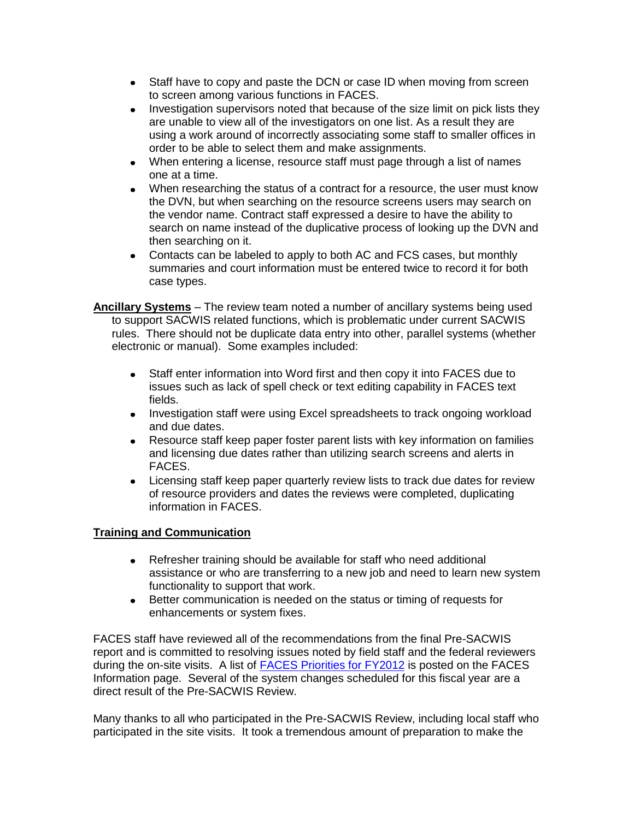- Staff have to copy and paste the DCN or case ID when moving from screen to screen among various functions in FACES.
- Investigation supervisors noted that because of the size limit on pick lists they  $\bullet$ are unable to view all of the investigators on one list. As a result they are using a work around of incorrectly associating some staff to smaller offices in order to be able to select them and make assignments.
- When entering a license, resource staff must page through a list of names  $\bullet$ one at a time.
- $\bullet$ When researching the status of a contract for a resource, the user must know the DVN, but when searching on the resource screens users may search on the vendor name. Contract staff expressed a desire to have the ability to search on name instead of the duplicative process of looking up the DVN and then searching on it.
- Contacts can be labeled to apply to both AC and FCS cases, but monthly summaries and court information must be entered twice to record it for both case types.
- **Ancillary Systems** The review team noted a number of ancillary systems being used to support SACWIS related functions, which is problematic under current SACWIS rules. There should not be duplicate data entry into other, parallel systems (whether electronic or manual). Some examples included:
	- $\bullet$ Staff enter information into Word first and then copy it into FACES due to issues such as lack of spell check or text editing capability in FACES text fields.
	- Investigation staff were using Excel spreadsheets to track ongoing workload and due dates.
	- Resource staff keep paper foster parent lists with key information on families  $\bullet$ and licensing due dates rather than utilizing search screens and alerts in FACES.
	- Licensing staff keep paper quarterly review lists to track due dates for review  $\bullet$ of resource providers and dates the reviews were completed, duplicating information in FACES.

## **Training and Communication**

- Refresher training should be available for staff who need additional  $\bullet$ assistance or who are transferring to a new job and need to learn new system functionality to support that work.
- Better communication is needed on the status or timing of requests for  $\bullet$ enhancements or system fixes.

FACES staff have reviewed all of the recommendations from the final Pre-SACWIS report and is committed to resolving issues noted by field staff and the federal reviewers during the on-site visits. A list of [FACES Priorities for FY2012](http://dssweb/cs/faces/index.htm) is posted on the FACES Information page. Several of the system changes scheduled for this fiscal year are a direct result of the Pre-SACWIS Review.

Many thanks to all who participated in the Pre-SACWIS Review, including local staff who participated in the site visits. It took a tremendous amount of preparation to make the